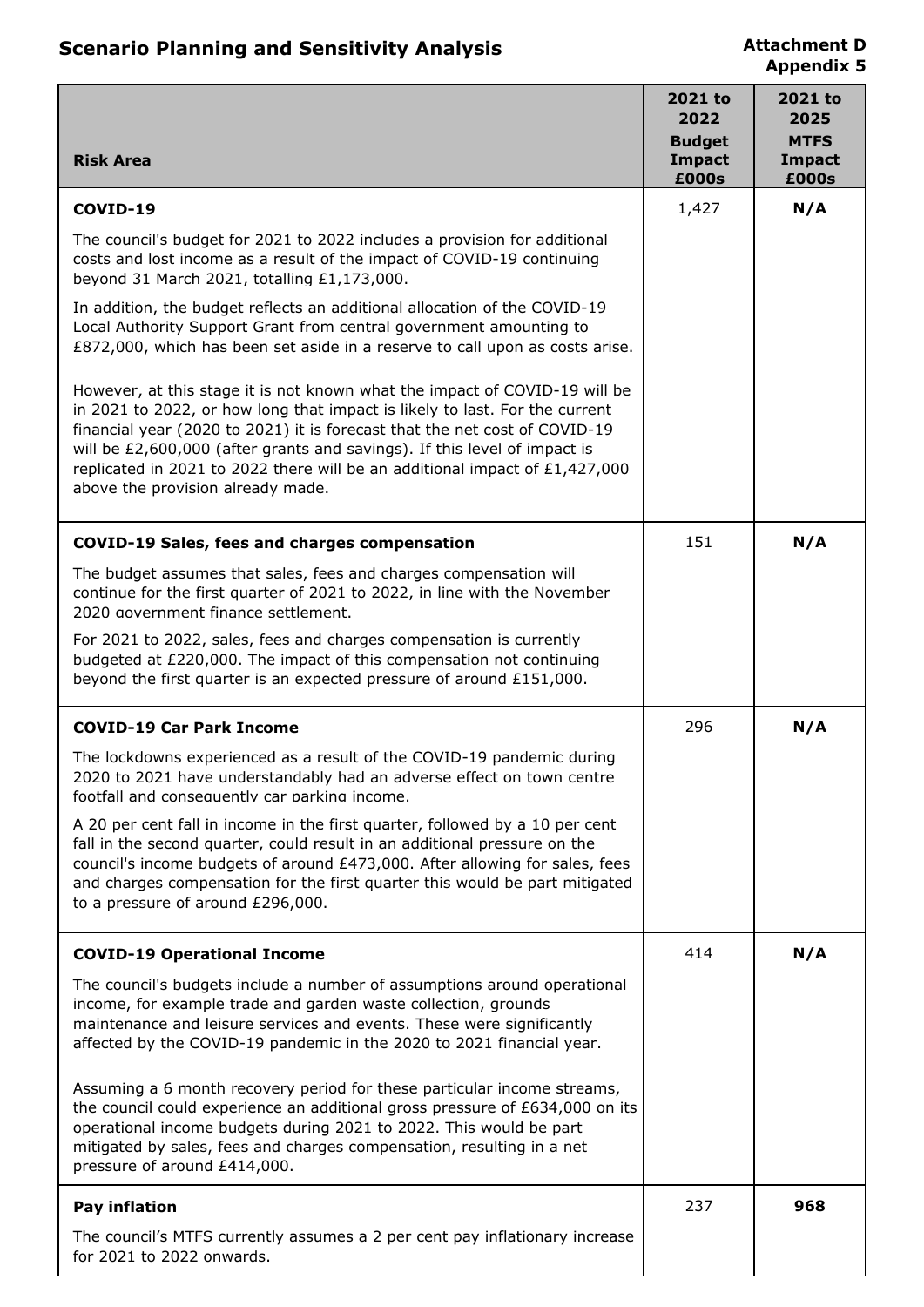| <b>Risk Area</b>                                                                                                                                                                                                                                                                                                                                                                                                                         | 2021 to<br>2022<br><b>Budget</b><br><b>Impact</b> | 2021 to<br>2025<br><b>MTFS</b><br><b>Impact</b> |
|------------------------------------------------------------------------------------------------------------------------------------------------------------------------------------------------------------------------------------------------------------------------------------------------------------------------------------------------------------------------------------------------------------------------------------------|---------------------------------------------------|-------------------------------------------------|
|                                                                                                                                                                                                                                                                                                                                                                                                                                          | £000s                                             | £000s                                           |
| COVID-19                                                                                                                                                                                                                                                                                                                                                                                                                                 | 1,427                                             | N/A                                             |
| The council's budget for 2021 to 2022 includes a provision for additional<br>costs and lost income as a result of the impact of COVID-19 continuing<br>beyond 31 March 2021, totalling £1,173,000.                                                                                                                                                                                                                                       |                                                   |                                                 |
| In addition, the budget reflects an additional allocation of the COVID-19<br>Local Authority Support Grant from central government amounting to<br>£872,000, which has been set aside in a reserve to call upon as costs arise.                                                                                                                                                                                                          |                                                   |                                                 |
| However, at this stage it is not known what the impact of COVID-19 will be<br>in 2021 to 2022, or how long that impact is likely to last. For the current<br>financial year (2020 to 2021) it is forecast that the net cost of COVID-19<br>will be £2,600,000 (after grants and savings). If this level of impact is<br>replicated in 2021 to 2022 there will be an additional impact of £1,427,000<br>above the provision already made. |                                                   |                                                 |
| COVID-19 Sales, fees and charges compensation                                                                                                                                                                                                                                                                                                                                                                                            | 151                                               | N/A                                             |
| The budget assumes that sales, fees and charges compensation will<br>continue for the first quarter of 2021 to 2022, in line with the November<br>2020 government finance settlement.                                                                                                                                                                                                                                                    |                                                   |                                                 |
| For 2021 to 2022, sales, fees and charges compensation is currently<br>budgeted at £220,000. The impact of this compensation not continuing<br>beyond the first quarter is an expected pressure of around £151,000.                                                                                                                                                                                                                      |                                                   |                                                 |
| <b>COVID-19 Car Park Income</b>                                                                                                                                                                                                                                                                                                                                                                                                          | 296                                               | N/A                                             |
| The lockdowns experienced as a result of the COVID-19 pandemic during<br>2020 to 2021 have understandably had an adverse effect on town centre<br>footfall and consequently car parking income.                                                                                                                                                                                                                                          |                                                   |                                                 |
| A 20 per cent fall in income in the first quarter, followed by a 10 per cent<br>fall in the second quarter, could result in an additional pressure on the<br>council's income budgets of around £473,000. After allowing for sales, fees<br>and charges compensation for the first quarter this would be part mitigated<br>to a pressure of around £296,000.                                                                             |                                                   |                                                 |
| <b>COVID-19 Operational Income</b>                                                                                                                                                                                                                                                                                                                                                                                                       | 414                                               | N/A                                             |
| The council's budgets include a number of assumptions around operational<br>income, for example trade and garden waste collection, grounds<br>maintenance and leisure services and events. These were significantly<br>affected by the COVID-19 pandemic in the 2020 to 2021 financial year.                                                                                                                                             |                                                   |                                                 |
| Assuming a 6 month recovery period for these particular income streams,<br>the council could experience an additional gross pressure of £634,000 on its<br>operational income budgets during 2021 to 2022. This would be part<br>mitigated by sales, fees and charges compensation, resulting in a net<br>pressure of around £414,000.                                                                                                   |                                                   |                                                 |
| Pay inflation                                                                                                                                                                                                                                                                                                                                                                                                                            | 237                                               | 968                                             |
| The council's MTFS currently assumes a 2 per cent pay inflationary increase<br>for 2021 to 2022 onwards.                                                                                                                                                                                                                                                                                                                                 |                                                   |                                                 |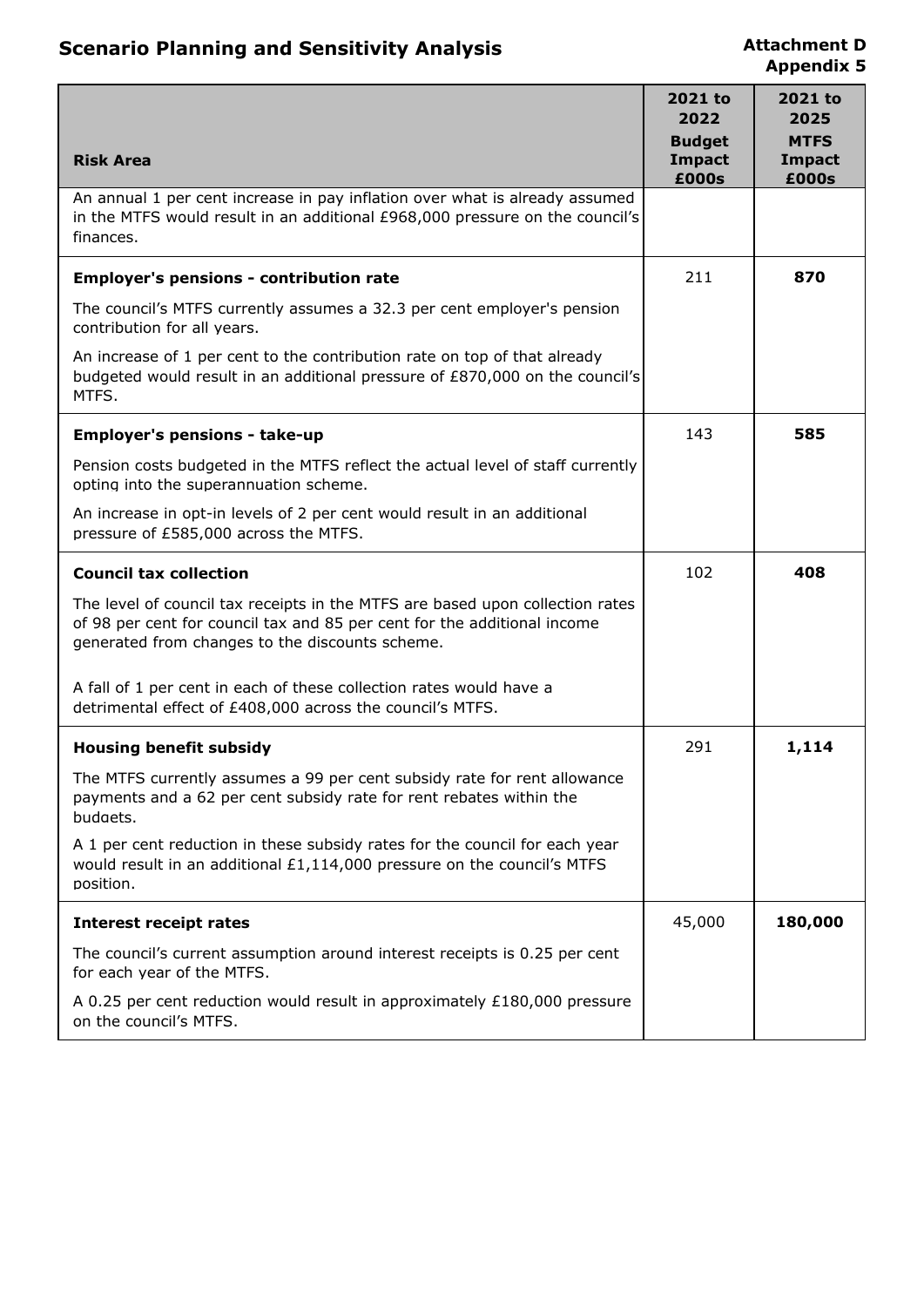|                                                                                                                                                                                                              | 2021 to<br>2022                         | 2021 to<br>2025                       |
|--------------------------------------------------------------------------------------------------------------------------------------------------------------------------------------------------------------|-----------------------------------------|---------------------------------------|
| <b>Risk Area</b>                                                                                                                                                                                             | <b>Budget</b><br><b>Impact</b><br>£000s | <b>MTFS</b><br><b>Impact</b><br>£000s |
| An annual 1 per cent increase in pay inflation over what is already assumed<br>in the MTFS would result in an additional £968,000 pressure on the council's<br>finances.                                     |                                         |                                       |
| <b>Employer's pensions - contribution rate</b>                                                                                                                                                               | 211                                     | 870                                   |
| The council's MTFS currently assumes a 32.3 per cent employer's pension<br>contribution for all years.                                                                                                       |                                         |                                       |
| An increase of 1 per cent to the contribution rate on top of that already<br>budgeted would result in an additional pressure of £870,000 on the council's<br>MTFS.                                           |                                         |                                       |
| <b>Employer's pensions - take-up</b>                                                                                                                                                                         | 143                                     | 585                                   |
| Pension costs budgeted in the MTFS reflect the actual level of staff currently<br>opting into the superannuation scheme.                                                                                     |                                         |                                       |
| An increase in opt-in levels of 2 per cent would result in an additional<br>pressure of £585,000 across the MTFS.                                                                                            |                                         |                                       |
| <b>Council tax collection</b>                                                                                                                                                                                | 102                                     | 408                                   |
| The level of council tax receipts in the MTFS are based upon collection rates<br>of 98 per cent for council tax and 85 per cent for the additional income<br>generated from changes to the discounts scheme. |                                         |                                       |
| A fall of 1 per cent in each of these collection rates would have a<br>detrimental effect of £408,000 across the council's MTFS.                                                                             |                                         |                                       |
| <b>Housing benefit subsidy</b>                                                                                                                                                                               | 291                                     | 1,114                                 |
| The MTFS currently assumes a 99 per cent subsidy rate for rent allowance<br>payments and a 62 per cent subsidy rate for rent rebates within the<br>budaets.                                                  |                                         |                                       |
| A 1 per cent reduction in these subsidy rates for the council for each year<br>would result in an additional £1,114,000 pressure on the council's MTFS<br>position.                                          |                                         |                                       |
| <b>Interest receipt rates</b>                                                                                                                                                                                | 45,000                                  | 180,000                               |
| The council's current assumption around interest receipts is 0.25 per cent<br>for each year of the MTFS.                                                                                                     |                                         |                                       |
| A 0.25 per cent reduction would result in approximately £180,000 pressure<br>on the council's MTFS.                                                                                                          |                                         |                                       |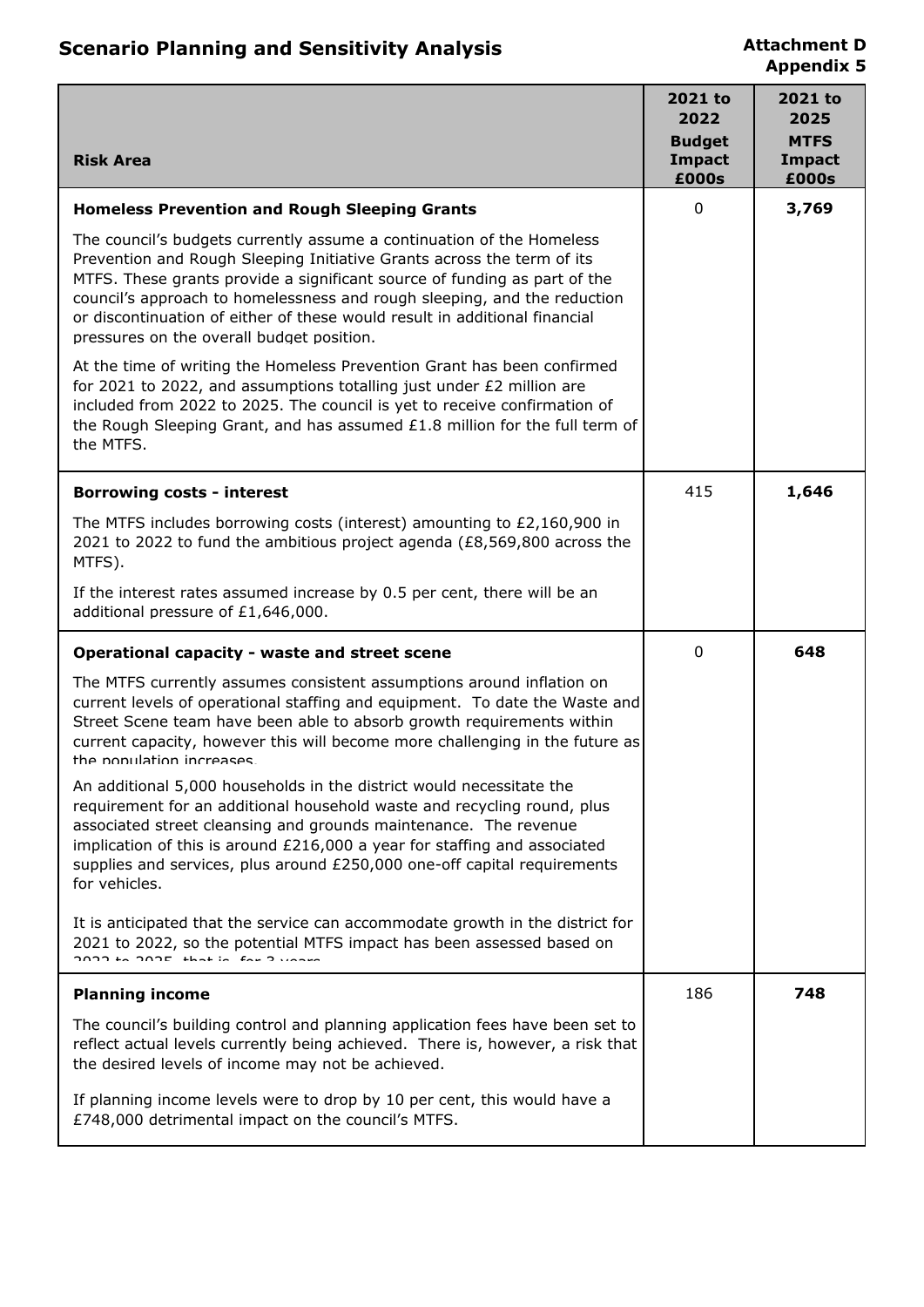|                                                                                                                                                                                                                                                                                                                                                                                                                                     | 2021 to<br>2022                         | 2021 to<br>2025                       |
|-------------------------------------------------------------------------------------------------------------------------------------------------------------------------------------------------------------------------------------------------------------------------------------------------------------------------------------------------------------------------------------------------------------------------------------|-----------------------------------------|---------------------------------------|
| <b>Risk Area</b>                                                                                                                                                                                                                                                                                                                                                                                                                    | <b>Budget</b><br><b>Impact</b><br>£000s | <b>MTFS</b><br><b>Impact</b><br>£000s |
| <b>Homeless Prevention and Rough Sleeping Grants</b>                                                                                                                                                                                                                                                                                                                                                                                | $\mathbf{0}$                            | 3,769                                 |
| The council's budgets currently assume a continuation of the Homeless<br>Prevention and Rough Sleeping Initiative Grants across the term of its<br>MTFS. These grants provide a significant source of funding as part of the<br>council's approach to homelessness and rough sleeping, and the reduction<br>or discontinuation of either of these would result in additional financial<br>pressures on the overall budget position. |                                         |                                       |
| At the time of writing the Homeless Prevention Grant has been confirmed<br>for 2021 to 2022, and assumptions totalling just under £2 million are<br>included from 2022 to 2025. The council is yet to receive confirmation of<br>the Rough Sleeping Grant, and has assumed £1.8 million for the full term of<br>the MTFS.                                                                                                           |                                         |                                       |
| <b>Borrowing costs - interest</b>                                                                                                                                                                                                                                                                                                                                                                                                   | 415                                     | 1,646                                 |
| The MTFS includes borrowing costs (interest) amounting to £2,160,900 in<br>2021 to 2022 to fund the ambitious project agenda (£8,569,800 across the<br>MTFS).                                                                                                                                                                                                                                                                       |                                         |                                       |
| If the interest rates assumed increase by 0.5 per cent, there will be an<br>additional pressure of £1,646,000.                                                                                                                                                                                                                                                                                                                      |                                         |                                       |
| Operational capacity - waste and street scene                                                                                                                                                                                                                                                                                                                                                                                       | $\overline{0}$                          | 648                                   |
| The MTFS currently assumes consistent assumptions around inflation on<br>current levels of operational staffing and equipment. To date the Waste and<br>Street Scene team have been able to absorb growth requirements within<br>current capacity, however this will become more challenging in the future as<br>the nonulation increases                                                                                           |                                         |                                       |
| An additional 5,000 households in the district would necessitate the<br>requirement for an additional household waste and recycling round, plus<br>associated street cleansing and grounds maintenance. The revenue<br>implication of this is around £216,000 a year for staffing and associated<br>supplies and services, plus around £250,000 one-off capital requirements<br>for vehicles.                                       |                                         |                                       |
| It is anticipated that the service can accommodate growth in the district for<br>2021 to 2022, so the potential MTFS impact has been assessed based on<br>$10112 + 2012$ that is fax $2 \text{ times}$                                                                                                                                                                                                                              |                                         |                                       |
| <b>Planning income</b>                                                                                                                                                                                                                                                                                                                                                                                                              | 186                                     | 748                                   |
| The council's building control and planning application fees have been set to<br>reflect actual levels currently being achieved. There is, however, a risk that<br>the desired levels of income may not be achieved.                                                                                                                                                                                                                |                                         |                                       |
| If planning income levels were to drop by 10 per cent, this would have a<br>£748,000 detrimental impact on the council's MTFS.                                                                                                                                                                                                                                                                                                      |                                         |                                       |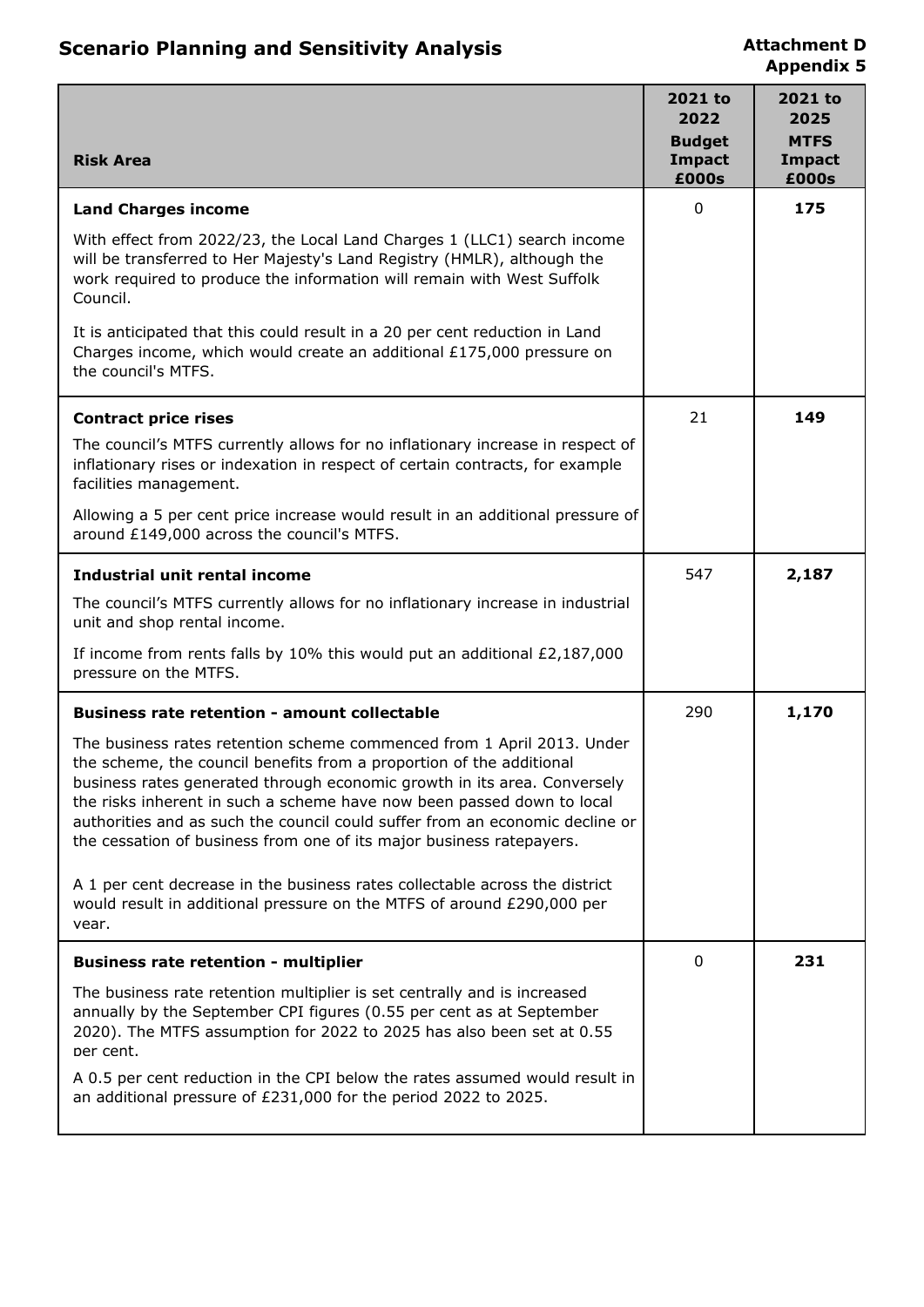|                                                                                                                                                                                                                                                                                                                                                                                                                                                              | 2021 to<br>2022                         | 2021 to<br>2025                       |
|--------------------------------------------------------------------------------------------------------------------------------------------------------------------------------------------------------------------------------------------------------------------------------------------------------------------------------------------------------------------------------------------------------------------------------------------------------------|-----------------------------------------|---------------------------------------|
| <b>Risk Area</b>                                                                                                                                                                                                                                                                                                                                                                                                                                             | <b>Budget</b><br><b>Impact</b><br>£000s | <b>MTFS</b><br><b>Impact</b><br>£000s |
| <b>Land Charges income</b>                                                                                                                                                                                                                                                                                                                                                                                                                                   | $\mathbf{0}$                            | 175                                   |
| With effect from 2022/23, the Local Land Charges 1 (LLC1) search income<br>will be transferred to Her Majesty's Land Registry (HMLR), although the<br>work required to produce the information will remain with West Suffolk<br>Council.                                                                                                                                                                                                                     |                                         |                                       |
| It is anticipated that this could result in a 20 per cent reduction in Land<br>Charges income, which would create an additional £175,000 pressure on<br>the council's MTFS.                                                                                                                                                                                                                                                                                  |                                         |                                       |
| <b>Contract price rises</b>                                                                                                                                                                                                                                                                                                                                                                                                                                  | 21                                      | 149                                   |
| The council's MTFS currently allows for no inflationary increase in respect of<br>inflationary rises or indexation in respect of certain contracts, for example<br>facilities management.                                                                                                                                                                                                                                                                    |                                         |                                       |
| Allowing a 5 per cent price increase would result in an additional pressure of<br>around £149,000 across the council's MTFS.                                                                                                                                                                                                                                                                                                                                 |                                         |                                       |
| <b>Industrial unit rental income</b>                                                                                                                                                                                                                                                                                                                                                                                                                         | 547                                     | 2,187                                 |
| The council's MTFS currently allows for no inflationary increase in industrial<br>unit and shop rental income.                                                                                                                                                                                                                                                                                                                                               |                                         |                                       |
| If income from rents falls by 10% this would put an additional $£2,187,000$<br>pressure on the MTFS.                                                                                                                                                                                                                                                                                                                                                         |                                         |                                       |
| <b>Business rate retention - amount collectable</b>                                                                                                                                                                                                                                                                                                                                                                                                          | 290                                     | 1,170                                 |
| The business rates retention scheme commenced from 1 April 2013. Under<br>the scheme, the council benefits from a proportion of the additional<br>business rates generated through economic growth in its area. Conversely<br>the risks inherent in such a scheme have now been passed down to local<br>authorities and as such the council could suffer from an economic decline or<br>the cessation of business from one of its major business ratepayers. |                                         |                                       |
| A 1 per cent decrease in the business rates collectable across the district<br>would result in additional pressure on the MTFS of around £290,000 per<br>vear.                                                                                                                                                                                                                                                                                               |                                         |                                       |
| <b>Business rate retention - multiplier</b>                                                                                                                                                                                                                                                                                                                                                                                                                  | 0                                       | 231                                   |
| The business rate retention multiplier is set centrally and is increased<br>annually by the September CPI figures (0.55 per cent as at September<br>2020). The MTFS assumption for 2022 to 2025 has also been set at 0.55<br>ner cent.                                                                                                                                                                                                                       |                                         |                                       |
| A 0.5 per cent reduction in the CPI below the rates assumed would result in<br>an additional pressure of £231,000 for the period 2022 to 2025.                                                                                                                                                                                                                                                                                                               |                                         |                                       |